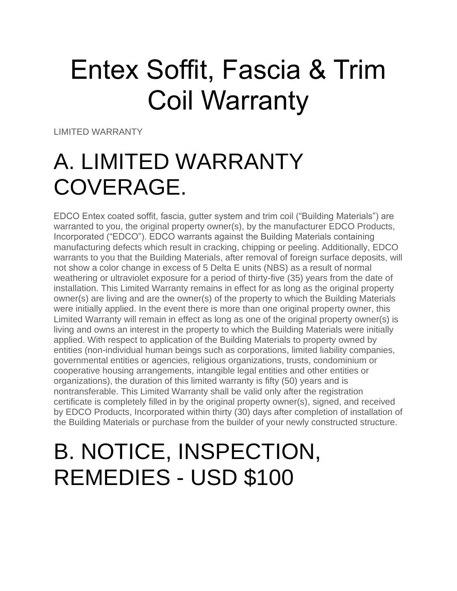# Entex Soffit, Fascia & Trim Coil Warranty

LIMITED WARRANTY

#### A. LIMITED WARRANTY COVERAGE.

EDCO Entex coated soffit, fascia, gutter system and trim coil ("Building Materials") are warranted to you, the original property owner(s), by the manufacturer EDCO Products, Incorporated ("EDCO"). EDCO warrants against the Building Materials containing manufacturing defects which result in cracking, chipping or peeling. Additionally, EDCO warrants to you that the Building Materials, after removal of foreign surface deposits, will not show a color change in excess of 5 Delta E units (NBS) as a result of normal weathering or ultraviolet exposure for a period of thirty-five (35) years from the date of installation. This Limited Warranty remains in effect for as long as the original property owner(s) are living and are the owner(s) of the property to which the Building Materials were initially applied. In the event there is more than one original property owner, this Limited Warranty will remain in effect as long as one of the original property owner(s) is living and owns an interest in the property to which the Building Materials were initially applied. With respect to application of the Building Materials to property owned by entities (non-individual human beings such as corporations, limited liability companies, governmental entities or agencies, religious organizations, trusts, condominium or cooperative housing arrangements, intangible legal entities and other entities or organizations), the duration of this limited warranty is fifty (50) years and is nontransferable. This Limited Warranty shall be valid only after the registration certificate is completely filled in by the original property owner(s), signed, and received by EDCO Products, Incorporated within thirty (30) days after completion of installation of the Building Materials or purchase from the builder of your newly constructed structure.

#### B. NOTICE, INSPECTION, REMEDIES - USD \$100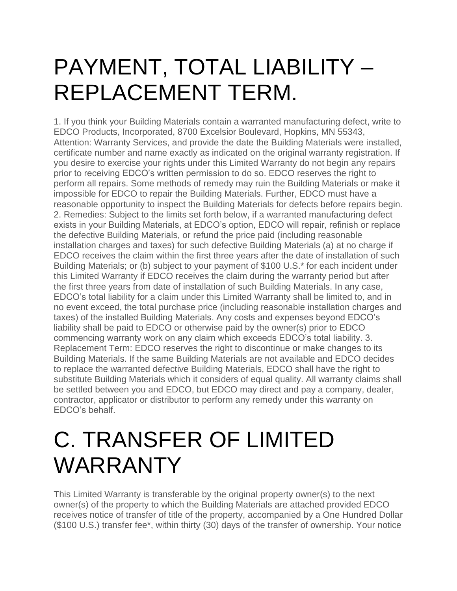#### PAYMENT, TOTAL LIABILITY – REPLACEMENT TERM.

1. If you think your Building Materials contain a warranted manufacturing defect, write to EDCO Products, Incorporated, 8700 Excelsior Boulevard, Hopkins, MN 55343, Attention: Warranty Services, and provide the date the Building Materials were installed, certificate number and name exactly as indicated on the original warranty registration. If you desire to exercise your rights under this Limited Warranty do not begin any repairs prior to receiving EDCO's written permission to do so. EDCO reserves the right to perform all repairs. Some methods of remedy may ruin the Building Materials or make it impossible for EDCO to repair the Building Materials. Further, EDCO must have a reasonable opportunity to inspect the Building Materials for defects before repairs begin. 2. Remedies: Subject to the limits set forth below, if a warranted manufacturing defect exists in your Building Materials, at EDCO's option, EDCO will repair, refinish or replace the defective Building Materials, or refund the price paid (including reasonable installation charges and taxes) for such defective Building Materials (a) at no charge if EDCO receives the claim within the first three years after the date of installation of such Building Materials; or (b) subject to your payment of \$100 U.S.\* for each incident under this Limited Warranty if EDCO receives the claim during the warranty period but after the first three years from date of installation of such Building Materials. In any case, EDCO's total liability for a claim under this Limited Warranty shall be limited to, and in no event exceed, the total purchase price (including reasonable installation charges and taxes) of the installed Building Materials. Any costs and expenses beyond EDCO's liability shall be paid to EDCO or otherwise paid by the owner(s) prior to EDCO commencing warranty work on any claim which exceeds EDCO's total liability. 3. Replacement Term: EDCO reserves the right to discontinue or make changes to its Building Materials. If the same Building Materials are not available and EDCO decides to replace the warranted defective Building Materials, EDCO shall have the right to substitute Building Materials which it considers of equal quality. All warranty claims shall be settled between you and EDCO, but EDCO may direct and pay a company, dealer, contractor, applicator or distributor to perform any remedy under this warranty on EDCO's behalf.

#### C. TRANSFER OF LIMITED WARRANTY

This Limited Warranty is transferable by the original property owner(s) to the next owner(s) of the property to which the Building Materials are attached provided EDCO receives notice of transfer of title of the property, accompanied by a One Hundred Dollar (\$100 U.S.) transfer fee\*, within thirty (30) days of the transfer of ownership. Your notice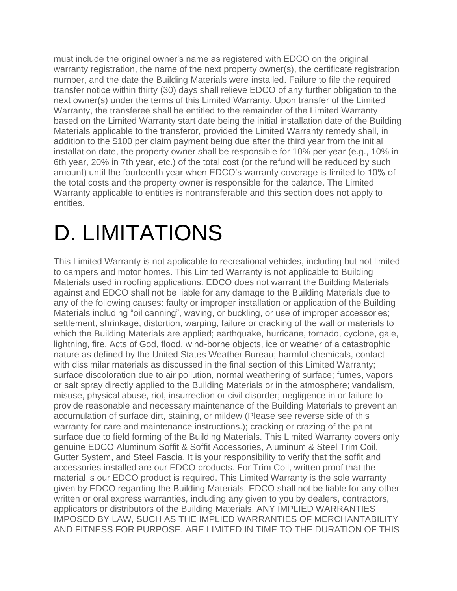must include the original owner's name as registered with EDCO on the original warranty registration, the name of the next property owner(s), the certificate registration number, and the date the Building Materials were installed. Failure to file the required transfer notice within thirty (30) days shall relieve EDCO of any further obligation to the next owner(s) under the terms of this Limited Warranty. Upon transfer of the Limited Warranty, the transferee shall be entitled to the remainder of the Limited Warranty based on the Limited Warranty start date being the initial installation date of the Building Materials applicable to the transferor, provided the Limited Warranty remedy shall, in addition to the \$100 per claim payment being due after the third year from the initial installation date, the property owner shall be responsible for 10% per year (e.g., 10% in 6th year, 20% in 7th year, etc.) of the total cost (or the refund will be reduced by such amount) until the fourteenth year when EDCO's warranty coverage is limited to 10% of the total costs and the property owner is responsible for the balance. The Limited Warranty applicable to entities is nontransferable and this section does not apply to entities.

## D. LIMITATIONS

This Limited Warranty is not applicable to recreational vehicles, including but not limited to campers and motor homes. This Limited Warranty is not applicable to Building Materials used in roofing applications. EDCO does not warrant the Building Materials against and EDCO shall not be liable for any damage to the Building Materials due to any of the following causes: faulty or improper installation or application of the Building Materials including "oil canning", waving, or buckling, or use of improper accessories; settlement, shrinkage, distortion, warping, failure or cracking of the wall or materials to which the Building Materials are applied; earthquake, hurricane, tornado, cyclone, gale, lightning, fire, Acts of God, flood, wind-borne objects, ice or weather of a catastrophic nature as defined by the United States Weather Bureau; harmful chemicals, contact with dissimilar materials as discussed in the final section of this Limited Warranty; surface discoloration due to air pollution, normal weathering of surface; fumes, vapors or salt spray directly applied to the Building Materials or in the atmosphere; vandalism, misuse, physical abuse, riot, insurrection or civil disorder; negligence in or failure to provide reasonable and necessary maintenance of the Building Materials to prevent an accumulation of surface dirt, staining, or mildew (Please see reverse side of this warranty for care and maintenance instructions.); cracking or crazing of the paint surface due to field forming of the Building Materials. This Limited Warranty covers only genuine EDCO Aluminum Soffit & Soffit Accessories, Aluminum & Steel Trim Coil, Gutter System, and Steel Fascia. It is your responsibility to verify that the soffit and accessories installed are our EDCO products. For Trim Coil, written proof that the material is our EDCO product is required. This Limited Warranty is the sole warranty given by EDCO regarding the Building Materials. EDCO shall not be liable for any other written or oral express warranties, including any given to you by dealers, contractors, applicators or distributors of the Building Materials. ANY IMPLIED WARRANTIES IMPOSED BY LAW, SUCH AS THE IMPLIED WARRANTIES OF MERCHANTABILITY AND FITNESS FOR PURPOSE, ARE LIMITED IN TIME TO THE DURATION OF THIS